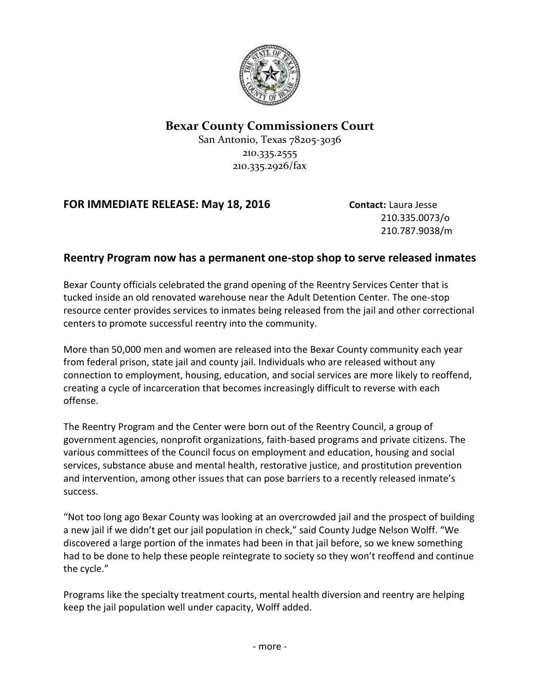

## **Bexar County Commissioners Court**

San Antonio, Texas 78205-3036 210.335.2555 210.335.2926/fax

## **FOR IMMEDIATE RELEASE: May 18, 2016 Contact:** Laura Jesse

210.335.0073/o 210.787.9038/m

## **Reentry Program now has a permanent one-stop shop to serve released inmates**

Bexar County officials celebrated the grand opening of the Reentry Services Center that is tucked inside an old renovated warehouse near the Adult Detention Center. The one-stop resource center provides services to inmates being released from the jail and other correctional centers to promote successful reentry into the community.

More than 50,000 men and women are released into the Bexar County community each year from federal prison, state jail and county jail. Individuals who are released without any connection to employment, housing, education, and social services are more likely to reoffend, creating a cycle of incarceration that becomes increasingly difficult to reverse with each offense.

The Reentry Program and the Center were born out of the Reentry Council, a group of government agencies, nonprofit organizations, faith-based programs and private citizens. The various committees of the Council focus on employment and education, housing and social services, substance abuse and mental health, restorative justice, and prostitution prevention and intervention, among other issues that can pose barriers to a recently released inmate's success.

"Not too long ago Bexar County was looking at an overcrowded jail and the prospect of building a new jail if we didn't get our jail population in check," said County Judge Nelson Wolff. "We discovered a large portion of the inmates had been in that jail before, so we knew something had to be done to help these people reintegrate to society so they won't reoffend and continue the cycle."

Programs like the specialty treatment courts, mental health diversion and reentry are helping keep the jail population well under capacity, Wolff added.